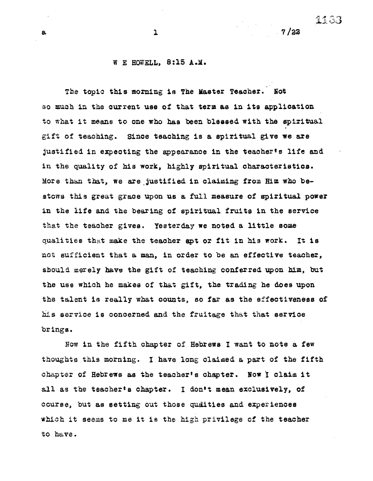## a  $1$  7/22

## W E HOWELL, 8:15 A.M.

The topic this morning is The Master Teacher. Not so much in the current use of that term as in its application to what it means to one who has been blessed with the spiritual gift of teaching. Since teaching is a spiritual give we are justified in expecting the appearance in the teacher's life and in the quality of his work, highly spiritual characteristics. More than that, we are justified in claiming from Him who bestows this great grace upon us a full measure of spiritual power in the life and the bearing of spiritual fruits in the service that the teacher gives. Yesterday we noted a little some qualities that make the teacher apt or fit in his work. It is not sufficient that a man, in order to be an effective teacher, should merely have the gift of teaching conferred upon him, but the use which he makes of that gift, the trading he does upon the talent is really what counts, so far as the effectiveness of his service is concerned and *the* fruitage that that service brings.

Now in the fifth chapter of Hebrews I want to note a few thoughts this morning. I have long claimed a part of the fifth chapter of Hebrews as the teacher's chapter. Now I claim it all as the teacher's chapter. I don't mean exclusively, of course, but as setting out those qualities and experiences which it seems to me it is the high privilege of the teacher to have.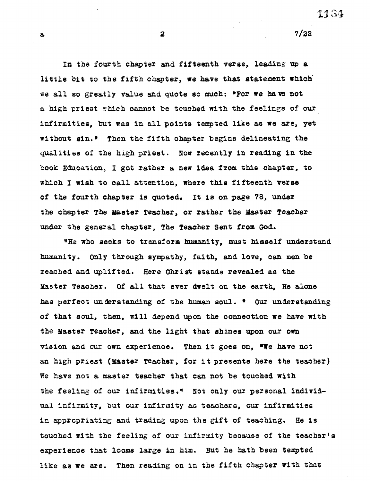1134

**a** 2 7/22

**In the fourth chapter and fifteenth verse, leading up a little bit to the fifth chapter, we have that statement which we all so greatly value and quote so much: \*For we have not a high priest which cannot be touched with the feelings of our infirmities, but was in all points tempted like as we are, yet without sin.\* Then the fifth chapter begins delineating the qualities of the high priest. Now recently in reading in the book Education, I got rather a new idea from this chapter, to which I wish to call attention, where this fifteenth verse of the fourth chapter is quoted. It is on page 78, under the chapter The Master Teacher, or rather the Master Teacher under the general chapter, The Teacher Sent from God.** 

**\*He who seeks to transform himanity, must himself understand humanity. Only through sympathy, faith, and love, can men be reached and uplifted. Here Christ stands revealed as the Master Teacher. Of all that ever dwelt on the earth, He alone has perfect un** de**rstanding of the human soul. \* Our understanding of that soul, then, will depend upon the connection we have with the Master Teacher, and the light that shines upon our own vision and our own experience. Then it goes on, \*He have not an high priest (Master Teacher, for it presents here the teacher) We have not a master teacher that can not be touched with**  the feeling of our infirmities." Not only our personal individ**ual infirmity, but our infirmity as teachers, our infirmities in appropriating and trading upon the gift of teaching. He is touched with the feeling of our infirmity because of the teacher's experience that looms large in him. But he path been tempted like as we are. Then reading on in the fifth chapter with that**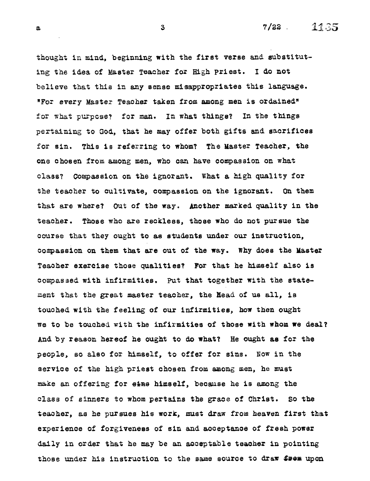thought in mind, beginning with the first verse and substituting the idea of Master Teacher for High Priest. I do not believe that this in any sense misappropriates this language. "For every Masten Teacher taken from among men is ordained" for what purpose? for man. In what things? In the things pertaining to God, that he may offer both gifts and sacrifices for sin. This is referring to whom? The Master Teacher, the one chosen from among men, who can have compassion on what class? Compassion on the ignorant. What a high quality for the teacher to cultivate, compassion on the ignorant. On them that are where? Out of the way. Another marked quality in the teacher. Those who are reckless, those who do not pursue the course that they ought to as students under our instruction, compassion on them that are out of the way. Why does the Master Teacher exercise those qualities? For that he himself also is compassed with infirmities. Put that together with the statement that the great master teacher, the Head of us all, is touched with the feeling of our infirmities, how then ought we to be touched with the infirmities of those with whom we deal? And by reason hereof he ought to do what? He ought as for the people, so also for himself, to offer for sins. Now in the service of the high priest chosen from among men, he must make an offering for etas himself, because he is among the class of sinners to whom pertains the grace of Christ. So the teacher, as he pursues his work, must draw from heaven first that experience of forgiveness of sin and acceptance of fresh power daily in order that he may be an acceptable teacher in pointing those under his instruction to the same source to draw from upon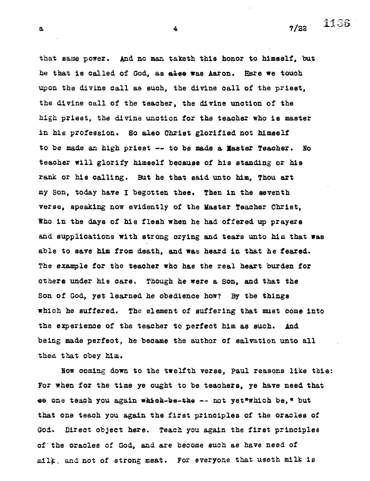**a**  $\frac{1135}{4}$ 

that same power. And no man taketh this honor to himself, but **he that is called of God, as else was Aaron. Ebro we touch upon the divine call as such, the divine call of the priest, the divine call of the teacher, the divine unction of the high priest, the divine unction for the teacher who is master in his profession. So also Christ glorified not himself to be made an high priest -- to be made a Master Teacher. No teacher will glorify himself because of his standing or his rank or his calling. But he that said unto him, Thou art my Son, today have I begotten thee. Then in the seventh verse, speaking now evidently of the Master Teacher Christ, Who in the days of his flesh when he had offered up prayers and supplications with strong crying and tears unto him that was able to save him from death, and was heard in that he feared. The example for the teacher who has the real heart burden for others under his care. Though he were a Son, and that the Son of God, yet learned he obedience how? By the things which he suffered. The element of suffering that must come into the experience of the teacher to perfect him as such. And being made perfect, he became the author of salvation unto all thew that obey him.** 

**Now coming down to the twelfth verse, Paul reasons like this: For when for the time ye ought to be teachers, ye have need that se one teach you again whiek-ke-tae -- not yet\*which be,\* but that one teach you again the first principles of the oracles of God. Direct object here. Teach you again the first principles of 'the oracles of God, and are become such as have need of**  milk, and not of strong meat. For everyone that useth milk is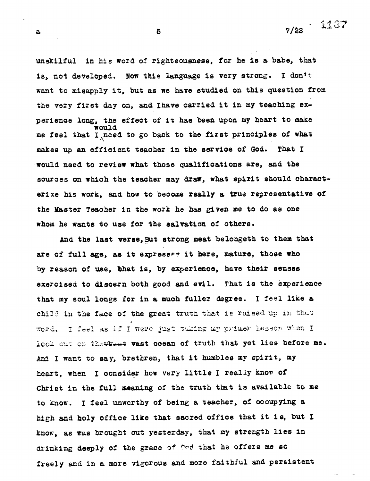**a** 5 5 7/22  $\frac{11.37}{ }$ 

**unskilful** *in* **his word of righteousness, for he is a babe, that is, not developed. Now this language is very strong. I donft want to misapply it, but as we have studied on this question from** 

**the very first day on, and Ihave carried it in my teaching experience long, the effect of it has been upon my heart to make would me feel that Ii,need to go back to the first principles of what makes up an efficient teacher in the service of God. That I would need to review what those qualifications are, and the sources on which the teacher may draw, what spirit should characterixe his work, and how to become really a true representative of the Master Teacher in the work he has given me to do as one whom he wants to use for the salvation of others.** 

**And the last verse, But strong meat belongeth to them that**  are of full age, as it expresses it here, mature, those who **by reason of use, bhat is, by experience, have their senses exercised to discern both good and evil. That is the experience that my soul longs for in a much fuller degree. I feel like a**  child in the face of the great truth that is raised up in that word. I feel as if I were just taking my primer lesson when I lock out on thewwest vast ocean of truth that yet lies before me. And I want to say, brethren, that it humbles my spirit, my heart, when I consider how very little I really **know of Christ in the full meaning of the truth tint is available to me to know. I feel unworthy of being a teacher, of occupying a high and holy office like that sacred office that it is, but I know, as was brought out yesterday, that my strength lies in**  drinking deeply of the grace of God that he offers me so **freely** and in **a more vigorous and more faithful and persistent**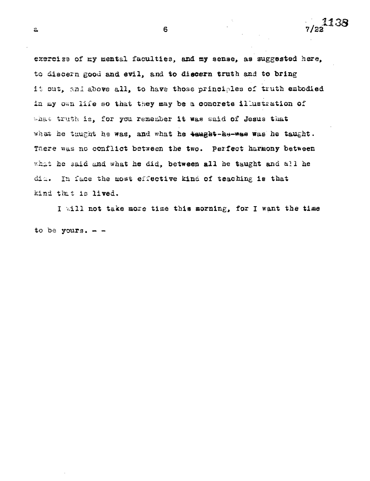exercise of my mental faculties, and my sense, as suggested here, to discern good and evil, and to discern truth and to bring it out, and above all, to have those principles of truth embodied in my own life so that they may be a concrete illustration of what truth is, for you remember it was said of Jesus that what he tuught he was, and what he saught-ke-was was he taught. There was no conflict between the two. Perfect harmony between what he said and what he did, between all he taught and all he dia. In face the most effective kind of teaching is that kind that is lived.

I will not take more time this morning, for I want the time to be yours.  $-$ 

a 6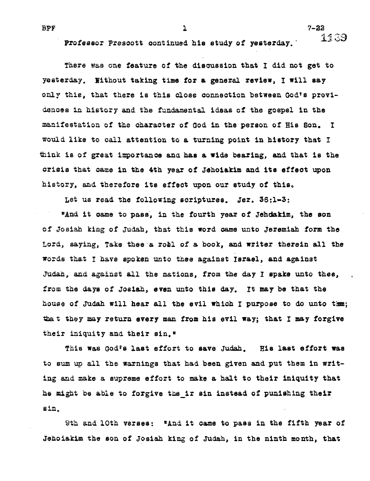Professor Prescott continued his study of yesterday. 1139

**There was one feature of the discussion that I did not get to yesterday. Without taking time for a general review, I will say only this, that there is this close connection between God's provideuces in history and the fundamental ideas of the gospel in the manifestation of the character of God in the person of His Son. I would like to call attention to a turning point in history that I**  think is of great importance and has a wide bearing, and that is the **crisis that** *came* **in the 4th year of Jehoiakim and its effect upon**  history, and therefore its effect upon our study of this.

**Let us read the following scriptures.** *Jer.* **36:1-3:** 

**\*And it came to pass, in the fourth year of Jehdakim, the son of Josiah king of Judah, that this word came unto Jeremiah form the Lord, saying, Take thee a** *roll* **of a book, and writer therein all the words that I have** *spoken* **unto thee against** *Israel, and against*  **Judah,** *and against all* **the nations, from** *the* **day I epake unto thee, from the days of Josiah, even unto this day. It may be that the house of Judah will hear all the evil which I purpose to do unto tam; taat they** *may return* **every man from his evil way; that I may forgive their iniquity and their sin.\*** 

**This was God's last effort to save Judah. Hie last effort was**  to sum up all the warnings that had been given and put them in writ**ing and make a supreme effort to make a halt to their iniquity that he might be able to forgive tine it sin instead of punishing their sin** 

9th and 10th verses: "And it came to pass in the fifth year of **Jehoiakim the son of Josiah king of Judah, in the ninth month, that** 

**BPF** 7-22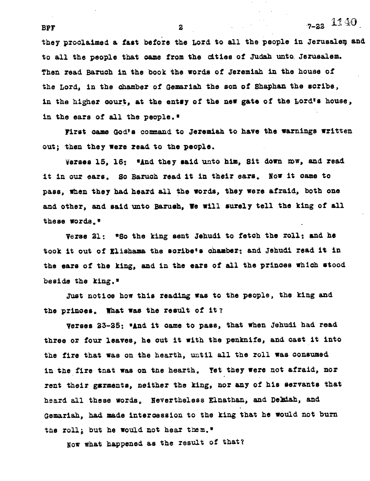they proclaimed a fast before the Lord to all the people in Jerusalem and **to all the people that came from the cities of Judah unto. Jerusalem. Then read Baruch in the book the words of Jeremiah** *in* **the house of the Lord, in the chamber of Gemariah the son of Shaphan the scribe,**  in the higher **court**, at the entsy of the new gate of the Lord's house, **in the ears of all the people.\*** 

First came God's command to Jeremiah to have the warnings written **out; then they were read to the people.** 

**verses 15, 16: \*And they said unto him, Sit down row, and read it in our ears, So Baruch read it** *in* **their ears. Now it came to pass, when they had heard all the words, they were afraid, both one**  and other, and said unto Barush, We will surely tell the king of all **these words.\*** 

**Verse 21: \*So the king sent Jehudi to fetch the roll: and he took it out of Elishama the scribe's chamber: and Jehudi read it in the ears of the king, and in the ears of all the princes which stood beside the king.\*** 

**Just notice how this reading was to the people, the king and the princes. What was the result of it?** 

**Verses 33-25: \*And it came to pass, that when Jehudi had read three or four leaves, he cut it with the penknife, and cast it into the fire that was on the hearth, until all the roll was consumed in the fire that was on the hearth. Yet they were not afraid, nor rent their garments, neither the king, nor any of his servants that**  heard all these words. Nevertheless Elnathan, and Delaiah, and **Gemariah, had made intercession to the king that he would not burn the roll; but he would not hear tnem.\*** 

**Now what happened as the result of that?** 

**BPF** 2  $7-22$  11.40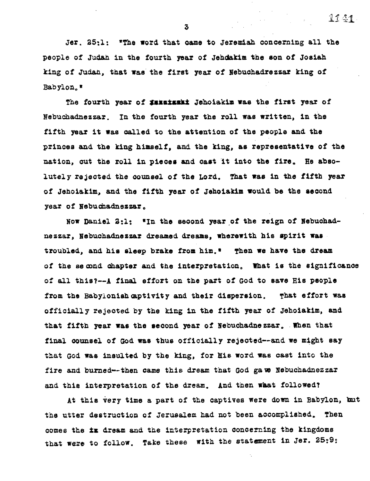**Jer. 25:1: \*The word that came to Jeremiah concerning all the people of Judah in the fourth year of Jehdakim the son of Josiah king of Judah, that was the first year of Nebuchadrezzar king of Babylon.\*** 

The fourth year of *IRIEIERRI* Jehoiakim was the first year of **Nebuchadnezzar. In the fourth year the roll was written, in the fifth year it was called to the attention of the people and the princes and the king himself, and the king, as representative of the nation, out the roll in pieces and cast it into the fire. He absolutely** *rejected* **the counsel of the Lord. That was in the fifth year of Jehoiakim, and the fifth year of Jehoiakim would be the second year of Nebuchadnezzar,** 

**Now Daniel 2:1: in the second year of the reign of Nebuchadnezzar, Nebuchadnezzar dreamed dreams, wherewith his spirit was troubled, and his sleep brake from him. Then we have the dream of the secamd chapter and the interpretation. What is the significance of all this?--A final effort on the part of God to save His people**  from the Babylonish captivity and their dispersion. That effort was **officially rejected by the king** *in* **the fifth year of Jehoiakim, and that fifth year was the second year of Nebuchadnezzar. When that final counsel of God was thus officially rejected—and we might say**  that God was insulted by the king, for His word was cast into the fire and burned--then came this dream that God gave Nebuchadnezzar **and this interpretation of the dream. And then what followed?** 

**At this Very time a part of the captives were down in Babylon, kit the utter destruction of Jerusalem had not been accomplished. Then comes the is dream and the interpretation concerning the kingdoms that were to follow. Take these with the statement in Jer. 25:9:** 

**3** 

 $11.41$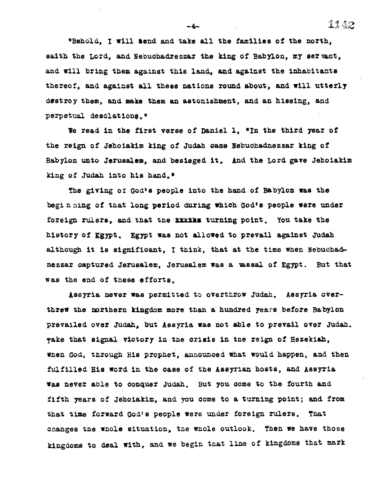**°Behold, I will tend and take all the families of the north, saith the Lord, and Nebuchadrezzar the king of Babylon, my servant, and will bring them against this land., and against the inhabitants thereof, and against all these nations round about, and will utterly** 

**destroy them, and snake them an astonishment, and** *an* **hissing, and perpetual desolatione<sup>c</sup> <sup>o</sup>**

We read in the first verse of Daniel 1, "In the third year of **the reign of Jehoiakim** *king* **of Judah came Nebuchadnezzar king of Babylon unto Jerusalem, and besieged it, And the Lord gave Jehoiakim king of Judah into his hand.'** 

**The giving of God\*s people into the hand of Babylon was the beginning of that long period during which God's people were under**  foreign rulers, and that the **IIIIE** turning point. You take the **history of Egypt. Egypt was not allowed to prevail against Judah although it is significant, I think, that at the time when Nebuchad» nezzar captured Jerusalem, Jerusalem was a vassal of Egypt. But that was the end of these efforts.** 

**Assyria never was permitted to overthrow Judah. Assyria overthrew the northern kingdom more than a hundred years before Babylon prevailed over Judah, but** *Assyria* **was not able to prevail over Judah. Take that signal victory in the crisis in the reign of Hezekith, when God, through His prophet, announced what would happen, and then fulfilled His word in the case of the Assyrian hosts, and Assyria Was never able to conquer Judah. But you come to the fourth and fifth years of Jehoiakim, and you come to a turning point; and. from that time forward God's people were under foreign rulers. That changes the whole situation, the whole outlook. Then we have those kingdoms to deal with, and we begin tnat line of kingdoms that mark** 

**-4--** 1142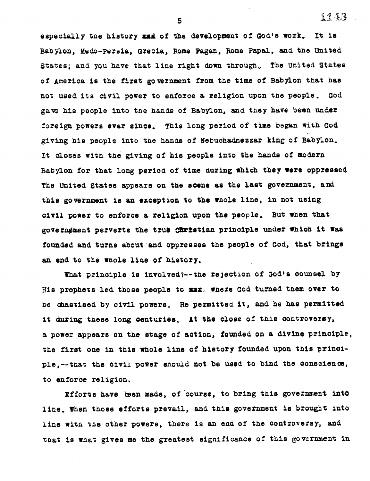**<sup>5</sup>**1143

especially the history xxx of the development of God's work. It is **Babylon, Medo-Persia, Grecia, Rome Pagan, Rome Papal, and the United States; and you have that line right down through. The United States of America is the first government from the time of Babylon that has not used its civil power to enforce a religion upon the people. God gave his people into the** *hands* **of Babylon, and they have been under foreign powers ever since. This long period of time began with God giving his people into the hands of Nebuchadnezzar king of Babylon. It closes with the giving of his people into the hands of modern Babylon for that long period of time during which they were oppressed The United States appears on the scene as the last government, and this government is an exception to the whole** *line,* **in not using civil power to enforce a religion upon the people. But when that**  governøment perverts the trus Christian principle under which it was founded and turns about and oppresses the people of God, that brings **an end to the whole line of history.** 

**That principle is involved7--the rejection of God's counsel by**  His prophets led those people to xxx. where God turned them over to **be chastised by civil powers. He permitted it, and he has permitted it during these long centuries. At the close of this controversy, a power appears on the stage of action, founded on a divine principle,**  the first one in this whole line of history founded upon this princi**ple,--that the civil power should not be used to** *bind* **the conscience, to enforce religion.** 

**Efforts have teen made, of 'course, to bring this government int0 line. When those efforts prevail, and this government is brought into line with the other powers, there is an end of the controversy, and that is winat gives me the greatest significance of this government in**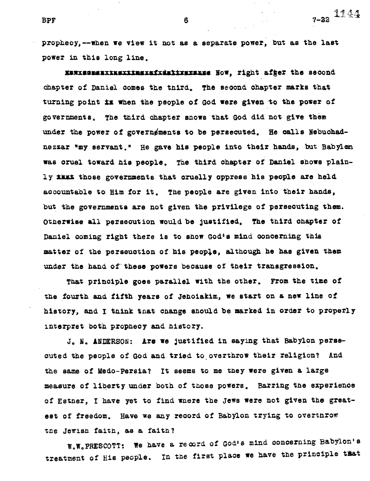**BPF** 6 6 7-22  $1144$ 

**prophecy,--when we view it not as a separate power, but as the last power in this long line.** 

**ZwasesszxxsextlaimeildelImmuise Now, right after the second Chapter of Daniel comes the third., The second chapter marks that turning point is when the people of God were given to the power of governments. The third chapter snows that God did not give them**  under the power of governements to be persecuted. He calls Nebuchad**nezzar "my servant," He gave his people into their hands, but Babylon was cruel toward his people. The third chapter of Daniel shows plain**ly **illian those** governments that cruelly oppress his people are held **accountable to Him for it. The people are given into their hands, but the governments are not given the privilege of persecuting them. Otherwise all persecution would be justified. The third chapter of Daniel coming right there is to show God's mind concerning this**  matter of the perseuction of his people, although he has given them **under the hand of- these powers because of their transgression.** 

**That principle goes parallel with the other. From the time of the fourth and fifth years of Jehoiakim, we start on a new line of history, and I think that change should be marked in order to properly interpret both prophecy and history.** 

**J. N. ANDERSON: Ara we justified** *in* **saying that Babylon persecuted the people of God and tried to.overthrow their religion? And**  the same of Medo-Persia? It seems to me they were given a large **measure of liberty under both of those powers. Barring the experience of Esther, I have yet to find where the Jews were not given the greatest of freedom. Have we any record of Babylon trying to overthrow the Jewish faith, as a faith?** 

**W.W,PRESCOTT: We have a record of God's mind concerning 'Babylon's treatment of His people. in the first place we have the principle that**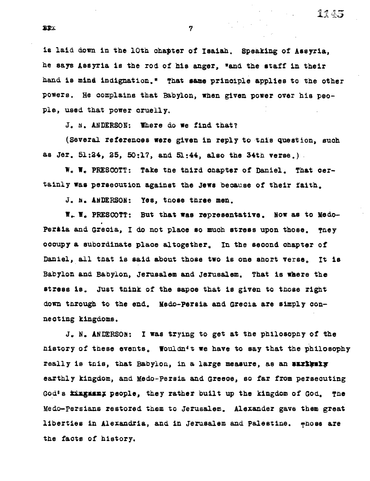**is laid down in the 10th chapter of Isaiah. Speaking of Assyria, he says Assyria is the rod of his anger, sand the staff in their hand is mind indignation.\* That same principle applies to the other powers. He complains that Babylon, when given power over his people, used that power cruelly.** 

**J.** N. **ANDERSON: 'here do we find that?** 

**(Several references were given in reply to tnis question, such as Jer. 51:24, 25, 50:17, and 51:44, also the 34th verse.)** 

**W, W, PRESCOTT: Take the third chapter of Daniel. That certainly was persecution against the Jews because of their faith.** 

**J.** b, **ANDERSON: Yes, those three men.** 

**W. W. PRESCOTT: But that was representative. Now as to Medo-**Persia and Grecia, I do not place so much stress upon those. They **occupy a subordinate place altogether, In the second chapter of Daniel, all that is said about those two is one short verse, It is Babylon and Babylon, Jerusalem and Jerusalem. That is where the stress is. Just think of the sapce that is given to those right down through to the end. Medo-persia and Grecia are simply connecting kingdoms.** 

**J. N. ANDERSON: I was trying to get at the philosophy of the**  history of these events. Wouldn<sup>t</sup> t we have to say that the philosophy really is this, that Babylon, in a large measure, as an *surismly* **earthly kingdom, and Medo-Persia and Greece, so far from persecuting Gode s ktngammx people, they rather built up the kingdom of God. The Mello-Persians restored them to Jerusalem. Alexander gave them great liberties in Alexandria, and** *in* **Jerusalem and Palestine. Those are the facts of history.**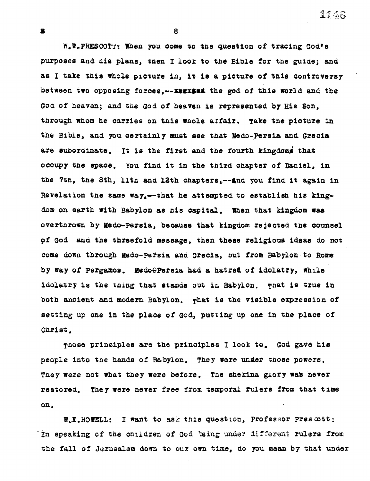1146

**W,W,PRESCOTT: When you come to the question of tracing Godie purposes and his plane, then I look to the Bible for the guide; and as I take this whole picture in, it is a picture of this controversy**  between two opposing forces,--xxxxxai the god of this world and the **God of heaven; and the God of heaven is represented by His Son, through whom he carries on this whole affair. Take the picture in the Bible, and you certainly must see that Medo-persia and Grecia are subordinate, It is the first and the fourth kingdom4 that occupy the space. You find it in the third chapter of Daniel, in**  the 7th, the 8th, 11th and 12th chapters,--and you find it again in Revelation the same way,--that he attempted to establish his king**dom on earth with Babylon as his capital. When that kingdom was overthrown by Medo-Persia, because that kingdom rejected the counsel Of God and the threefold message, then these religious ideas do not come down through Medo-pe±sia and Grecia, but from Babylon: to Rome by way of Pergamos. MedoQPersia had a hatred of idolatry, while idolatry is the thing that stands out in Babylon. That is true in**  both ancient and modern Babylon. what is the visible expression of **setting up one in the place of God, putting up one in the place of Christ.** 

**8** 

**Those principles are the principles I look to, God gave his**  people into the hands of Babylon. They were under those powers. They were not what they were before. The shekina glory was never **restored. They were never free from temporal rulers from that time on.** 

**W.E.BOWELL: I want to ask this question, Professor prescott: In speaking of the children of** God being under different **rulers from the fall of Jerusalem down to our own time, do you mean by that under** 

 $\overline{\mathbf{x}}$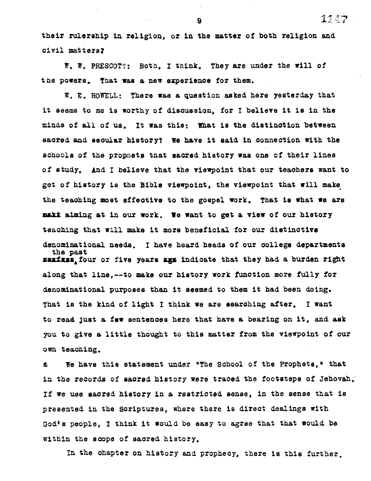**their rulership in religion, or in the matter of both religion and civil** *matters?* 

*W. W.* **PRESCOTT: Both, I think. They are under the will of the powers, That was a new experience for them.** 

**W. E. ROWELL: There** *was* **a question asked here yesterday that it seems to me is worthy of discussion, for I believe it is in\_ the minds of all of useIt was this: What is the distinction between sacred and secular history? We have it said in connection with the schools of the prophets that sacred history was one of their lines of study, And I believe that the viewpoint that our teachers want to**  get of history is the Bible viewpoint, the viewpoint that will make **the teaching most effective to the gospel work. That is what we are makt aiming at in our work. We want to get a view of our history teaching that will make it more beneficial for our distinctive denominational needs. I have heard heads of our college departments the past mmxixsz<sup>a</sup> four or five years aga indicate that they had a burden right along that line,--to make our history work function more fully for denominational purposes than it seemed to them it had** *been* **doing. That is the kind of light I think we are searching after, I want to read just a** *few* **sentences here that have a bearing on it, and ask you to give a little thought to this matter from the viewpoint of our own teaching.** 

**We have this statement under "The School of the Prophets," that**  蠢 **in the records of sacred history were traced the footsteps of Jehovah,' If we use sacred history in a restricted sense, in the** *sense that* **is presented in the Scriptures, where there is direct dealings with God's people, I think it would be easy to agree that that would be within the scope of sacred history.** 

**In the chapter on history and prophecy, there is this further.** 

**9 11.57**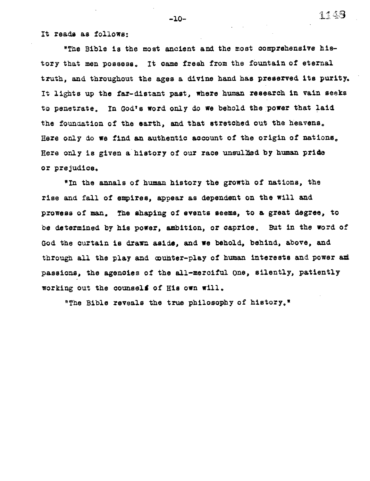**It reads as follows:** 

**"The Bible is the most ancient and the most comprehensive history that men possess. It came fresh from the fountain of eternal truth, and throughout the ages a divine hand has preserved its purity. It lights up the far-distant past, where human research in vain seeks**  to penetrate. In God's word only do we behold the power that laid **the foundation of the earth, and that stretched out the heavens. Here only do we find an authentic account of the origin of nations. Here only is given a' history of our race unsullied by human pride or prejudice.** 

**"In the annals of human history the growth of nations, the rise and fall of empires, appear as dependent on the will and prowess of man. The shaping of events seems, to a great degree, to be determined by his power, ambition, or caprice. But in the word of God the curtain is drawn** *aside,* **and we behold, behind, above, and through all the play and counter-play of human interests and power ad passions, the agencies of the all-merciful One, silently, patiently working out the counsell of His own will.** 

**°The Bible reveals the true philosophy of history."** 

-10-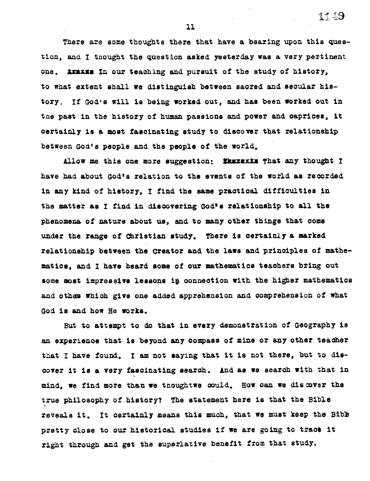**There are some thoughts there that have a bearing upon this question, and I thought the question asked yesterday was a very pertinent one. truss In** *our* **teaching and pursuit of the study of history, to what** *extent* **shall we distinguish** *between* **sacred and secular his**tory. If God's will is being worked out, and has been worked out in **tne past in the history of human passions and power and caprices, it certainly is a most fascinating study to discover that relationship between God's people and the people of the world.** 

**Allow me this one more suggestion: Uszaxis That any thought have had about God's relation to the events of the world as recorded in any kind of history, I find the same practical difficulties** *in*  **the matter as I find in discovering God's relationship to all the phenomena of nature about us, and to many other things that come under the range of Christian study. There is certainly a marked relationship between the Creator and the laws and principles of mathemattes, and I have heard some of our mathematics teachers bring out some most impressive lessons ip connection with the higher mathematics and other which give one added apprehension and comprehension of what God is and how He works.** 

**But to attempt to do that in every demonstration of Geography is an experience that is beyond any compass of** *mine* **or any other teacher that I have foumd. I am not saying that it is not there, but to discover it is a very fascinating search. And as we search with that in mind, we find more than we tnoughtwe could. How can we discover the true philosophy of history? The statement here is that the Bible reveals it. It certainly means this much, that we must keep the Bibs**  pretty close to our historical studies if we are going to tract it **right through and get the superlative benefit from that study.** 

**11**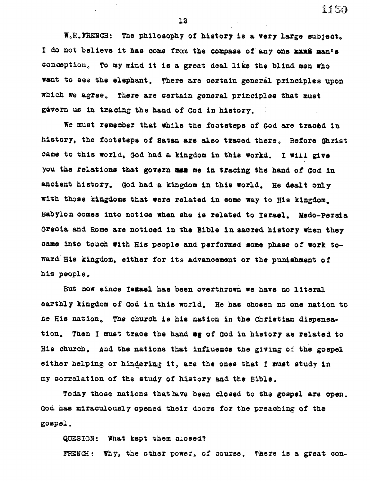**WoR.FRENCH: The philosophy of history is a very large subject,**  I **do not believe it has come from the compass of** *any* **one mss mants conception. To my mind it is a great deal like the blind men who want to see the elephant. There are certain generil principles upon which we agree. There** *are certain* **general principles that must govern us in tracing the hand of God in history.** 

1150

We must remember that while the footsteps of God are traced in **history, the footsteps of Satan are also traced there. Before Christ came to this world, God had a kingdom in this world. I will give you the relations that govern ass me in tracing the** *hand* **of God in ancient history, God had a kingdom in this world. He dealt only with those kingdoms that were related in some way to His kingdom, Babylon comes into notice** *when* **she is related to Israel. Medo-Persia Gracia and Rome are noticed in the Bible in sacred history when they**  *name into* **touch with His people and performed some phase of work toward His kingdom,** *either* **for its advancement or the punishment of his people.** 

But now since Iszael has been overthrown we have no literal **earthly kingdom of God** *in* **this world. He has chosen no one nation to he His nation. The church is** *his nation in the* **Christian dispensation. Then I must trace the hand mg of God in history as related to His church. And the nations that influence the giving of the gospel either helping or hindering it, are the ones that I must study in my correlation of the study of history and the Bible.** 

Today those nations that have been closed to the gospel are open. **God has miraculously opened their doors for the preaching of the gospel.** 

**QUESION: What kept them closed?** 

**FRENCH: Why, the other power, of course. There is a great con-** 

**12**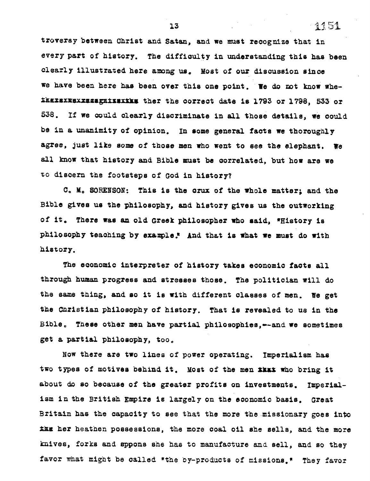**troversy between Christ and Satan, and we must recognize that in every part of history. The difficulty in understanding this has been clearly illustrated here among us, Most of our discussion since we have been here has been over this one point. We do not know whe-Ikaxsxxsxxxxasx.timxIks the: the correct date is 1793 or 1798, 533 or 538. If we could clearly discriminate in all those details, we could be in a unanimity of opinion. In some general facts we thoroughly agree, just like some of those men who went to see the elephant. We all know that history and Bible must be correlated, but how are we to discern the footsteps of God in history?** 

**C. M. SORENSON: This is the crux of the whole matter; and the Bible gives us the philosophy, and history gives us the outworking of it, There was an old Greek philosopher who said, 'History is philosophy teaching by example! And that is what we must do with history.** 

**The economic interpreter of history takes economic facts all through human progress and stresses those. The politician will do the** *same* **thing, and so it is with different classes of men. We get the Christian philosophy of history. That is revealed to us in the Bible. These other men have partial philosophies,--and we sometimes get a partial philosophy, too.** 

**Now there are two lines of power operating. Imperialism has**  two types of motives behind it. Most of the men *inx* who bring it **about do so because of the greater profits on investments. Imperialism in the British Empire is largely on the economic basis. Great Britain has the capacity to see that the more the missionary goes into ks her heathen possessions, the more coal oil she sells, and the more knives, forks and sppons she has to manufacture and sell, and so they favor what might be called the by-products of missions.' They favor** 

**13 13 1451**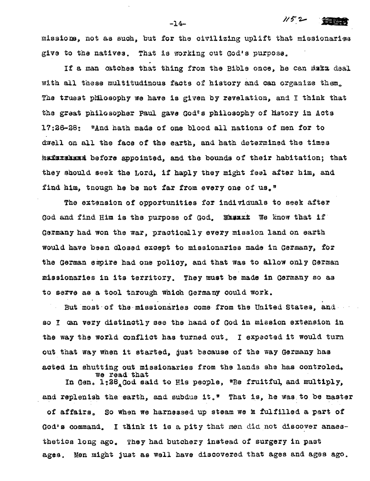**missiors" not as such, but for the civilizing uplift that missionaries give to the natives. That is working out God's purpose.** 

 $1/52$   $\frac{2}{2}$ 

If a man catches that thing from the Bible once, he can saka deal **with all these multitudinous facts of history and can organize them. The truest pillosophy we have is given by revelation, and I think that the great philosopher Paul gave Godts philosophy of Ustory in Acts 17:26-2: "And hath made of one blood all nations of men for to dwell on all the face of the earth, and hath determined the times hafazahama before appointed, and the bounds of their habitation; that they should seek the Lord, if haply they might feel after him, and find him, tnougn he be not far from every one of us,"** 

**The extension of opportunities for individuals to seek after**  God and find Him is the purpose of God. Wasaxx We know that if **Germany had. won the war, practically every mission land on earth would have been dosed except to missionaries made in Germany, for**  the German empire had one policy, and that was to allow only German **missionaries in its territory. They must be made in Germany so as to serve as a tool through which Germany could work.** 

But most of the missionaries come from the United States, and **I can very distinctly see the hand of God in mission extension in the way the world conflict has turned out. I expected it would turn out that way when it started, 4ust because of the way Germany has**  acted in shutting out missionaries from the lands she has controled. **vie read that** 

In Gen, 1:28<sub>4</sub>God said to His people, "Be fruitful, and multiply, and replenish the earth, and subdue it." That is, he was to be master **of affairs. So when we harnessed up steam we h fulfilled a part of God's command. I think it is a pity that** men did **not discover anaesthetics long ago. They had butchery instead of surgery in past ages. Men might just as well have discovered that ages and ages ago.** 

**-14-**